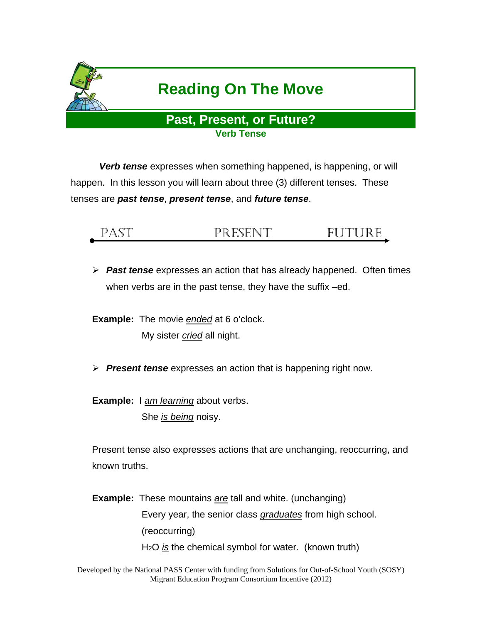

*Verb tense* expresses when something happened, is happening, or will happen. In this lesson you will learn about three (3) different tenses. These tenses are *past tense*, *present tense*, and *future tense*.

## PAST PRESENT FUTURE

 *Past tense* expresses an action that has already happened. Often times when verbs are in the past tense, they have the suffix –ed.

**Example:** The movie *ended* at 6 o'clock. My sister *cried* all night.

- *Present tense* expresses an action that is happening right now.
- **Example:** I *am learning* about verbs. She *is being* noisy.

Present tense also expresses actions that are unchanging, reoccurring, and known truths.

**Example:** These mountains *are* tall and white. (unchanging) Every year, the senior class *graduates* from high school. (reoccurring) H<sub>2</sub>O *is* the chemical symbol for water. (known truth)

Developed by the National PASS Center with funding from Solutions for Out-of-School Youth (SOSY) Migrant Education Program Consortium Incentive (2012)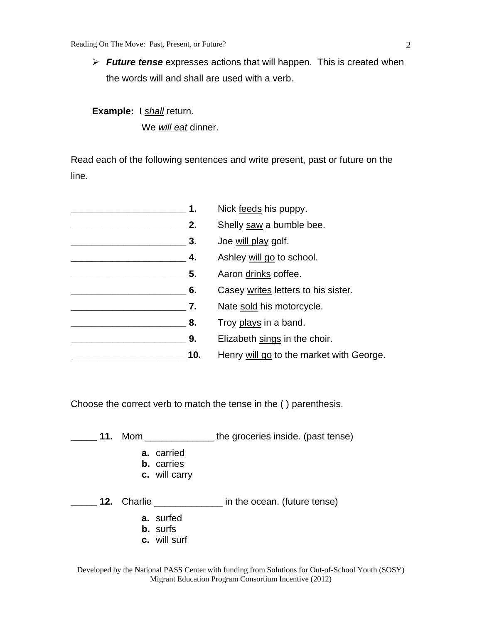*Future tense* expresses actions that will happen. This is created when the words will and shall are used with a verb.

**Example:** I *shall* return. We *will eat* dinner.

Read each of the following sentences and write present, past or future on the line.

| Nick feeds his puppy.                    |
|------------------------------------------|
| Shelly saw a bumble bee.                 |
| Joe will play golf.                      |
| Ashley will go to school.                |
| Aaron drinks coffee.                     |
| Casey writes letters to his sister.      |
| Nate sold his motorcycle.                |
| Troy plays in a band.                    |
| Elizabeth sings in the choir.            |
| Henry will go to the market with George. |
|                                          |

Choose the correct verb to match the tense in the ( ) parenthesis.

**\_\_\_\_\_ 11.** Mom \_\_\_\_\_\_\_\_\_\_\_\_\_ the groceries inside. (past tense)

- **a.** carried
- **b.** carries
- **c.** will carry
- **\_\_\_\_\_ 12.** Charlie \_\_\_\_\_\_\_\_\_\_\_\_\_ in the ocean. (future tense)
	- **a.** surfed
	- **b.** surfs
	- **c.** will surf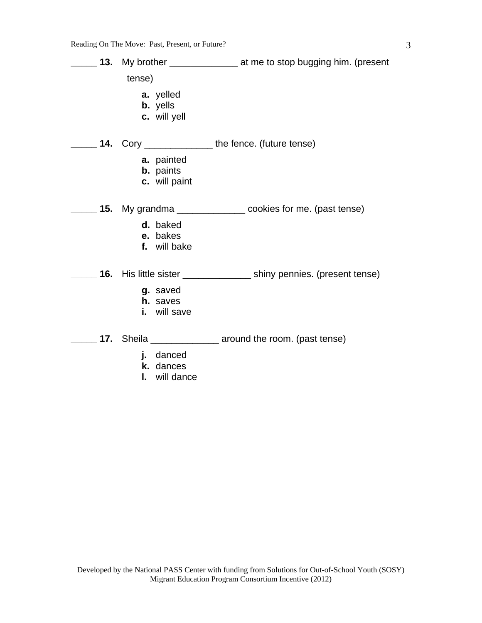**\_\_\_\_\_ 13.** My brother \_\_\_\_\_\_\_\_\_\_\_\_\_ at me to stop bugging him. (present tense) **a.** yelled **b.** yells **c.** will yell **\_\_\_\_\_ 14.** Cory \_\_\_\_\_\_\_\_\_\_\_\_\_ the fence. (future tense) **a.** painted **b.** paints **c.** will paint **\_\_\_\_\_ 15.** My grandma \_\_\_\_\_\_\_\_\_\_\_\_\_ cookies for me. (past tense) **d.** baked **e.** bakes **f.** will bake **\_\_\_\_\_ 16.** His little sister \_\_\_\_\_\_\_\_\_\_\_\_\_ shiny pennies. (present tense) **g.** saved **h.** saves **i.** will save **\_\_\_\_\_ 17.** Sheila \_\_\_\_\_\_\_\_\_\_\_\_\_ around the room. (past tense) **j.** danced **k.** dances

**l.** will dance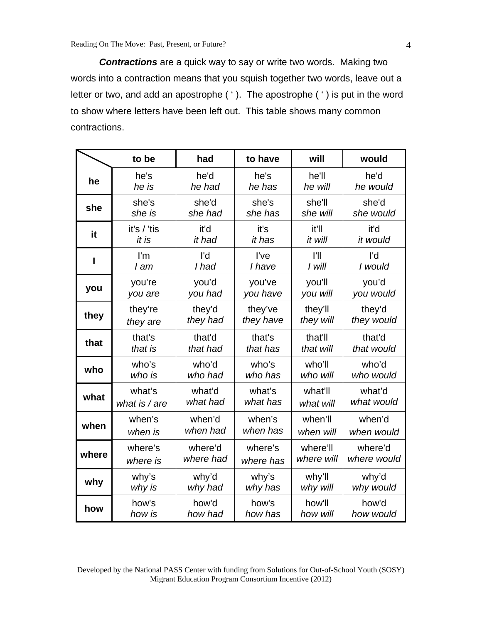*Contractions* are a quick way to say or write two words. Making two words into a contraction means that you squish together two words, leave out a letter or two, and add an apostrophe ( ' ). The apostrophe ( ' ) is put in the word to show where letters have been left out. This table shows many common contractions.

|       | to be                   | had       | to have   | will       | would       |
|-------|-------------------------|-----------|-----------|------------|-------------|
| he    | he's                    | he'd      | he's      | he'll      | he'd        |
|       | he is                   | he had    | he has    | he will    | he would    |
| she   | she's                   | she'd     | she's     | she'll     | she'd       |
|       | she is                  | she had   | she has   | she will   | she would   |
| it    | it's / 'tis             | it'd      | it's      | it'll      | it'd        |
|       | it is                   | it had    | it has    | it will    | it would    |
| ı     | $\mathsf{I}'\mathsf{m}$ | l'd       | I've      | I'll       | l'd         |
|       | I am                    | I had     | I have    | I will     | I would     |
| you   | you're                  | you'd     | you've    | you'll     | you'd       |
|       | you are                 | you had   | you have  | you will   | you would   |
| they  | they're                 | they'd    | they've   | they'll    | they'd      |
|       | they are                | they had  | they have | they will  | they would  |
| that  | that's                  | that'd    | that's    | that'll    | that'd      |
|       | that is                 | that had  | that has  | that will  | that would  |
| who   | who's                   | who'd     | who's     | who'll     | who'd       |
|       | who is                  | who had   | who has   | who will   | who would   |
| what  | what's                  | what'd    | what's    | what'll    | what'd      |
|       | what is / are           | what had  | what has  | what will  | what would  |
| when  | when's                  | when'd    | when's    | when'll    | when'd      |
|       | when is                 | when had  | when has  | when will  | when would  |
| where | where's                 | where'd   | where's   | where'll   | where'd     |
|       | where is                | where had | where has | where will | where would |
| why   | why's                   | why'd     | why's     | why'll     | why'd       |
|       | why is                  | why had   | why has   | why will   | why would   |
| how   | how's                   | how'd     | how's     | how'll     | how'd       |
|       | how is                  | how had   | how has   | how will   | how would   |

Developed by the National PASS Center with funding from Solutions for Out-of-School Youth (SOSY) Migrant Education Program Consortium Incentive (2012)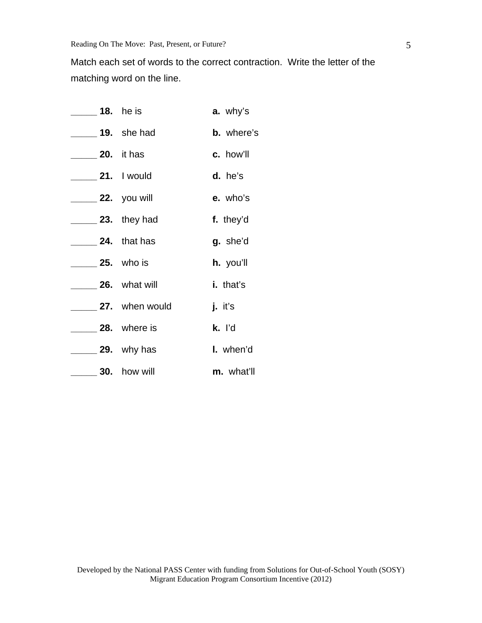Match each set of words to the correct contraction. Write the letter of the matching word on the line.

| <b>18.</b> he is                      |                      | a. why's          |
|---------------------------------------|----------------------|-------------------|
| ______ 19. she had                    |                      | <b>b.</b> where's |
| $\frac{1}{20}$ . it has               |                      | c. how'll         |
| _ 21. I would                         |                      | d. he's           |
| _______ 22. you will                  |                      | e. who's          |
| $\frac{1}{2}$ 23. they had            |                      | f. they'd         |
| $\overline{\phantom{a}}$ 24. that has |                      | g. she'd          |
| $\sqrt{25}$ . who is                  |                      | h. you'll         |
| 26. what will                         |                      | i. that's         |
|                                       | 27. when would       | <b>j.</b> it's    |
|                                       | $\_\$ 28. where is   | k. ľd             |
|                                       | <u>_</u> 29. why has | I. when'd         |
|                                       | $-30.$ how will      | m. what'll        |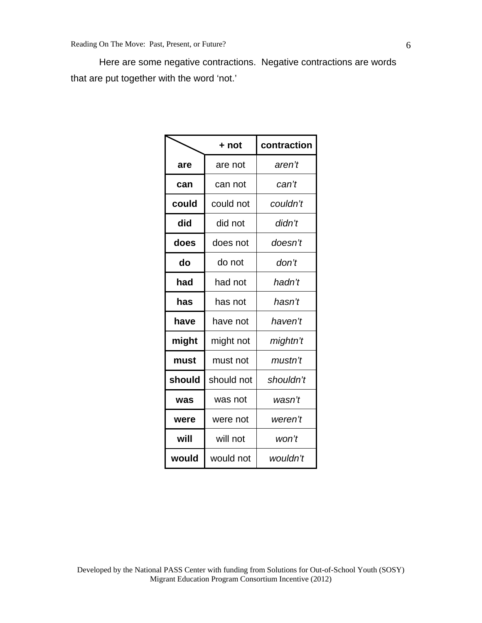Here are some negative contractions. Negative contractions are words that are put together with the word 'not.'

|        | + not      | contraction |
|--------|------------|-------------|
| are    | are not    | aren't      |
| can    | can not    | can't       |
| could  | could not  | couldn't    |
| did    | did not    | didn't      |
| does   | does not   | doesn't     |
| do     | do not     | don't       |
| had    | had not    | hadn't      |
| has    | has not    | hasn't      |
| have   | have not   | haven't     |
| might  | might not  | mightn't    |
| must   | must not   | mustn't     |
| should | should not | shouldn't   |
| was    | was not    | wasn't      |
| were   | were not   | weren't     |
| will   | will not   | won't       |
| would  | would not  | wouldn't    |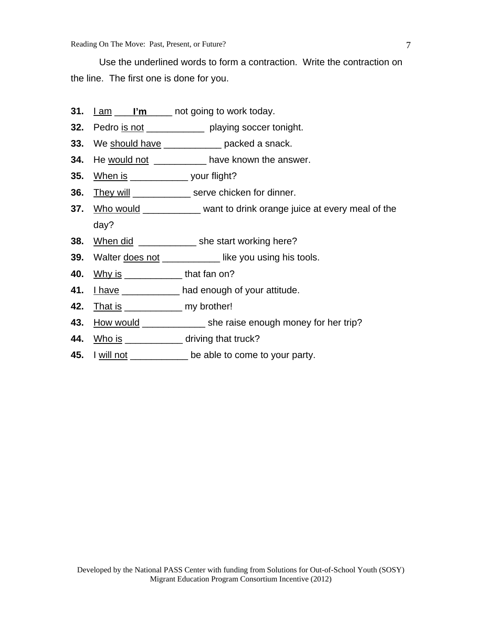Use the underlined words to form a contraction. Write the contraction on the line. The first one is done for you.

- **31.** Lam l'm and going to work today.
- **32.** Pedro is not \_\_\_\_\_\_\_\_\_\_\_ playing soccer tonight.
- **33.** We should have \_\_\_\_\_\_\_\_\_\_\_\_ packed a snack.
- **34.** He would not \_\_\_\_\_\_\_\_\_\_\_ have known the answer.
- **35.** When is \_\_\_\_\_\_\_\_\_\_\_ your flight?
- **36.** They will \_\_\_\_\_\_\_\_\_\_\_\_\_ serve chicken for dinner.
- **37.** Who would \_\_\_\_\_\_\_\_\_\_ want to drink orange juice at every meal of the day?
- **38.** When did \_\_\_\_\_\_\_\_\_\_\_\_\_\_ she start working here?
- **39.** Walter <u>does not</u> \_\_\_\_\_\_\_\_\_\_\_\_ like you using his tools.
- **40.** Why is \_\_\_\_\_\_\_\_\_\_\_ that fan on?
- **41.** I have **Example 20** had enough of your attitude.
- **42.** That is \_\_\_\_\_\_\_\_\_\_\_\_\_ my brother!
- **43.** How would \_\_\_\_\_\_\_\_\_\_\_\_\_\_\_ she raise enough money for her trip?
- **44.** Who is \_\_\_\_\_\_\_\_\_\_\_\_\_ driving that truck?
- **45.** I will not \_\_\_\_\_\_\_\_\_\_\_ be able to come to your party.